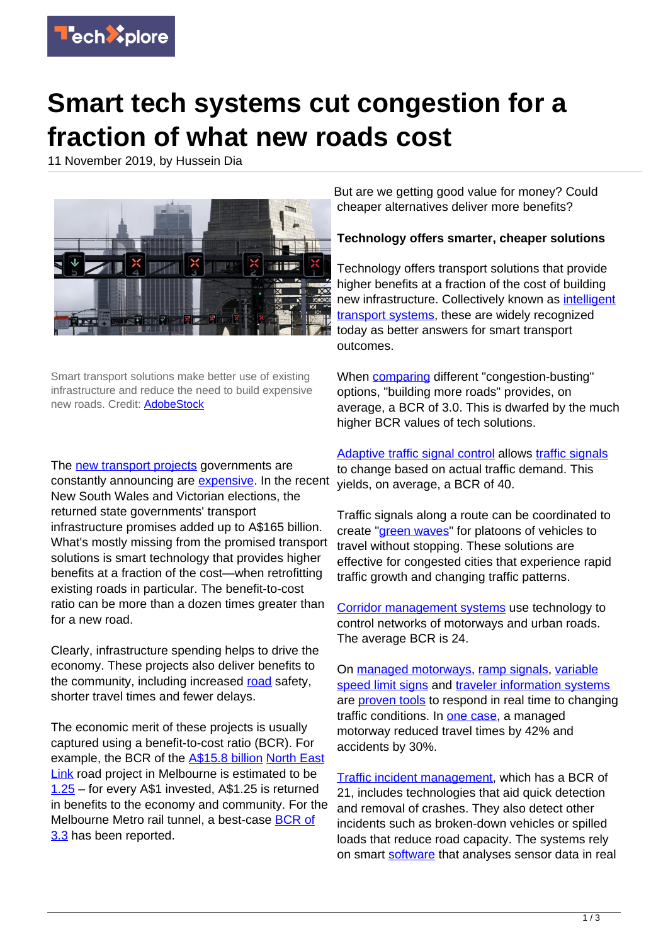

# **Smart tech systems cut congestion for a fraction of what new roads cost**

11 November 2019, by Hussein Dia



Smart transport solutions make better use of existing infrastructure and reduce the need to build expensive new roads. Credit: **AdobeStock** 

The [new transport projects](https://bigbuild.vic.gov.au/projects) governments are constantly announcing are [expensive](https://www.macrobusiness.com.au/2019/08/australian-infrastructure-expensive/). In the recent New South Wales and Victorian elections, the returned state governments' transport infrastructure promises added up to A\$165 billion. What's mostly missing from the promised transport solutions is smart technology that provides higher benefits at a fraction of the cost—when retrofitting existing roads in particular. The benefit-to-cost ratio can be more than a dozen times greater than for a new road.

Clearly, infrastructure spending helps to drive the economy. These projects also deliver benefits to the community, including increased [road](https://techxplore.com/tags/road/) safety. shorter travel times and fewer delays.

The economic merit of these projects is usually captured using a benefit-to-cost ratio (BCR). For example, the BCR of the [A\\$15.8 billion](https://www.theage.com.au/politics/victoria/big-projects-bigger-bills-massive-construction-boom-comes-at-a-cost-20190610-p51w5d.html) [North East](https://bigbuild.vic.gov.au/projects/north-east-link) [Link](https://bigbuild.vic.gov.au/projects/north-east-link) road project in Melbourne is estimated to be [1.25](https://www.theage.com.au/national/victoria/north-east-link-at-risk-of-becoming-financial-disaster-economist-20190726-p52b6a.html) – for every A\$1 invested, A\$1.25 is returned in benefits to the economy and community. For the Melbourne Metro rail tunnel, a best-case [BCR of](https://metrotunnel.vic.gov.au/about-the-project/faq) [3.3](https://metrotunnel.vic.gov.au/about-the-project/faq) has been reported.

But are we getting good value for money? Could cheaper alternatives deliver more benefits?

## **Technology offers smarter, cheaper solutions**

Technology offers transport solutions that provide higher benefits at a fraction of the cost of building new infrastructure. Collectively known as [intelligent](https://www.youtube.com/watch?v=XOMamTXK5T8) [transport systems](https://www.youtube.com/watch?v=XOMamTXK5T8), these are widely recognized today as better answers for smart transport outcomes.

When [comparing](https://www.mckinsey.com/industries/capital-projects-and-infrastructure/our-insights/infrastructure-productivity) different "congestion-busting" options, "building more roads" provides, on average, a BCR of 3.0. This is dwarfed by the much higher BCR values of tech solutions.

[Adaptive traffic signal control](https://www.fhwa.dot.gov/innovation/everydaycounts/edc-1/asct.cfm) allows [traffic signals](https://youtu.be/lZtOgqbNMVE) to change based on actual traffic demand. This yields, on average, a BCR of 40.

Traffic signals along a route can be coordinated to create ["green waves](https://youtu.be/PQ-HBC6QGHo?t=12)" for platoons of vehicles to travel without stopping. These solutions are effective for congested cities that experience rapid traffic growth and changing traffic patterns.

[Corridor management systems](https://www.itsinternational.com/sections/nafta/features/integrated-corridor-management-to-enhance-travel-efficiency/) use technology to control networks of motorways and urban roads. The average BCR is 24.

On [managed motorways](https://www.vicroads.vic.gov.au/traffic-and-road-use/traffic-management/managed-motorways), [ramp signals,](https://www.vicroads.vic.gov.au/traffic-and-road-use/traffic-management/managed-motorways/coordinated-ramp-signals) [variable](https://www.youtube.com/watch?v=4aUyMJwZ8_s) [speed limit signs](https://www.youtube.com/watch?v=4aUyMJwZ8_s) and [traveler information systems](https://www.vicroads.vic.gov.au/traffic-and-road-use/traffic-management/managed-motorways/traveller-information-for-motorists) are [proven tools](https://youtu.be/iFL2CZfJZD8) to respond in real time to changing traffic conditions. In [one case,](https://www.transmax.com.au/wp-content/uploads/2018/01/Case-Study_Smart-Motorways-.pdf) a managed motorway reduced travel times by 42% and accidents by 30%.

[Traffic incident management](https://www.vicroads.vic.gov.au/traffic-and-road-use/traffic-management/managed-motorways/lane-and-speed-management-for-incidents), which has a BCR of 21, includes technologies that aid quick detection and removal of crashes. They also detect other incidents such as broken-down vehicles or spilled loads that reduce road capacity. The systems rely on smart [software](https://www.sciencedirect.com/science/article/pii/S0968090X97000168) that analyses sensor data in real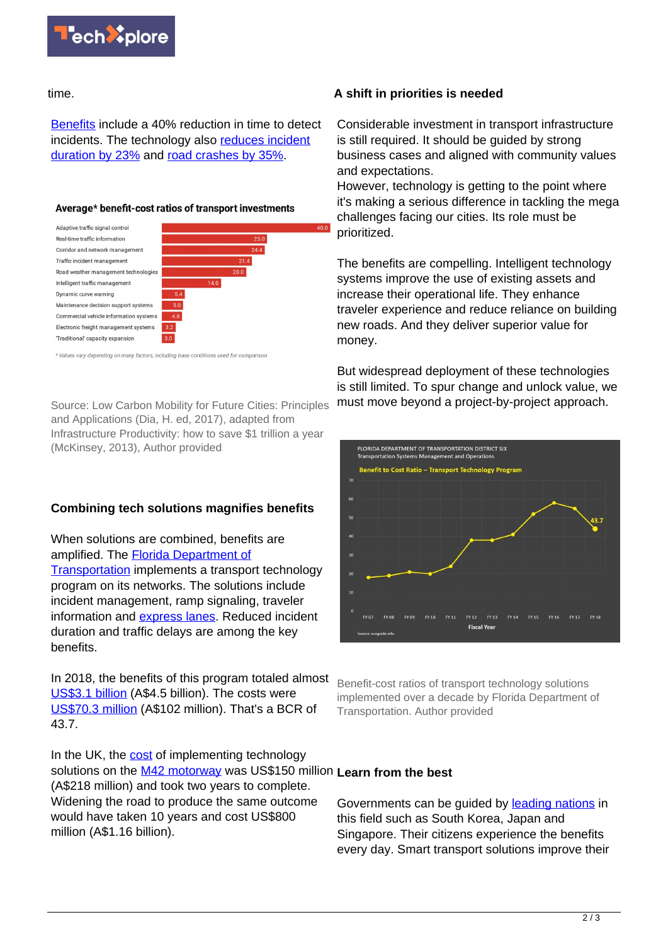

time.

[Benefits](http://ntimc.transportation.org/Pages/NTIMCPublicationsandProducts.aspx) include a 40% reduction in time to detect incidents. The technology also [reduces incident](http://ntimc.transportation.org/Documents/Benefits11-07-06.pdf) [duration by 23%](http://ntimc.transportation.org/Documents/Benefits11-07-06.pdf) and [road crashes by 35%.](https://trid.trb.org/view/481658)

#### Average\* benefit-cost ratios of transport investments



\* Values vary depending on many factors, including base conditions used for comparisor

Source: Low Carbon Mobility for Future Cities: Principles and Applications (Dia, H. ed, 2017), adapted from Infrastructure Productivity: how to save \$1 trillion a year (McKinsey, 2013), Author provided

# **Combining tech solutions magnifies benefits**

When solutions are combined, benefits are amplified. The [Florida Department of](https://sunguide.info/annual-reports/district-six-its-annual-report/) [Transportation](https://sunguide.info/annual-reports/district-six-its-annual-report/) implements a transport technology program on its networks. The solutions include incident management, ramp signaling, traveler information and [express lanes](https://www.youtube.com/watch?v=mdVDEU5UVb4&feature=youtu.be&t=50). Reduced incident duration and traffic delays are among the key benefits.

In 2018, the benefits of this program totaled almost [US\\$3.1 billion](https://sunguide.info/reports/annual-reports/District-Six-ITS-Annual-Report/2018-District-Six-ITS-Annual-Report.pdf) (A\$4.5 billion). The costs were [US\\$70.3 million](https://sunguide.info/reports/annual-reports/District-Six-ITS-Annual-Report/2018-District-Six-ITS-Annual-Report.pdf) (A\$102 million). That's a BCR of 43.7.

In the UK, the [cost](https://www.mckinsey.com/~/media/McKinsey/Industries/Capital%20Projects%20and%20Infrastructure/Our%20Insights/Infrastructure%20productivity/MGI%20Infrastructure_Full%20report_Jan%202013.ashx) of implementing technology solutions on the [M42 motorway](https://www.roads.org.uk/motorway/m42) was US\$150 million **Learn from the best** (A\$218 million) and took two years to complete. Widening the road to produce the same outcome would have taken 10 years and cost US\$800 million (A\$1.16 billion).

### **A shift in priorities is needed**

Considerable investment in transport infrastructure is still required. It should be guided by strong business cases and aligned with community values and expectations.

However, technology is getting to the point where it's making a serious difference in tackling the mega challenges facing our cities. Its role must be prioritized.

The benefits are compelling. Intelligent technology systems improve the use of existing assets and increase their operational life. They enhance traveler experience and reduce reliance on building new roads. And they deliver superior value for money.

But widespread deployment of these technologies is still limited. To spur change and unlock value, we must move beyond a project-by-project approach.



Benefit-cost ratios of transport technology solutions implemented over a decade by Florida Department of Transportation. Author provided

Governments can be guided by [leading nations](https://itif.org/publications/2010/01/09/explaining-international-it-application-leadership-intelligent) in this field such as South Korea, Japan and Singapore. Their citizens experience the benefits every day. Smart transport solutions improve their